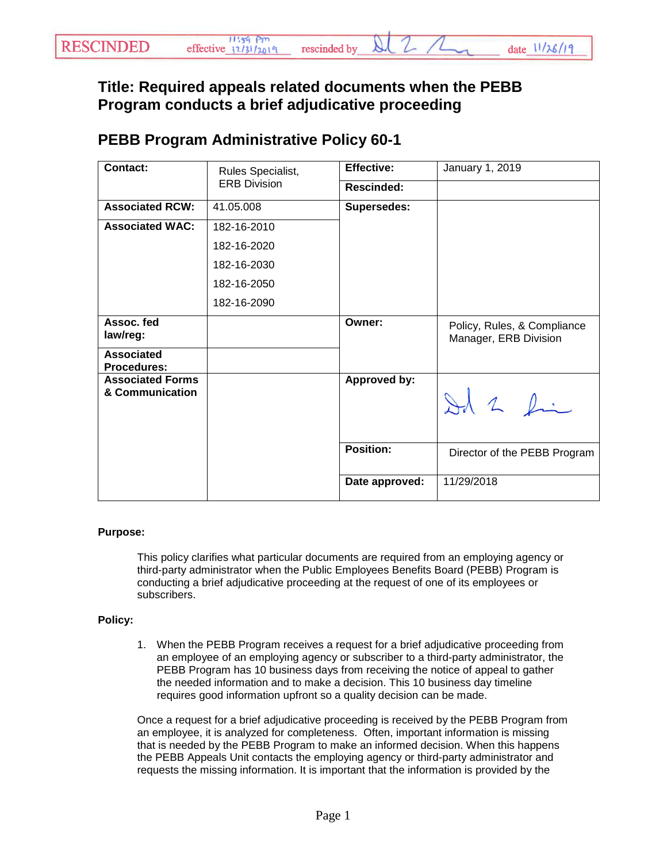## **Title: Required appeals related documents when the PEBB Program conducts a brief adjudicative proceeding**

## **PEBB Program Administrative Policy 60-1**

| <b>Contact:</b>                            | Rules Specialist,<br><b>ERB Division</b> | <b>Effective:</b>  | January 1, 2019                                      |
|--------------------------------------------|------------------------------------------|--------------------|------------------------------------------------------|
|                                            |                                          | Rescinded:         |                                                      |
| <b>Associated RCW:</b>                     | 41.05.008                                | <b>Supersedes:</b> |                                                      |
| <b>Associated WAC:</b>                     | 182-16-2010                              |                    |                                                      |
|                                            | 182-16-2020                              |                    |                                                      |
|                                            | 182-16-2030                              |                    |                                                      |
|                                            | 182-16-2050                              |                    |                                                      |
|                                            | 182-16-2090                              |                    |                                                      |
| Assoc. fed<br>law/reg:                     |                                          | Owner:             | Policy, Rules, & Compliance<br>Manager, ERB Division |
| <b>Associated</b><br><b>Procedures:</b>    |                                          |                    |                                                      |
| <b>Associated Forms</b><br>& Communication |                                          | Approved by:       | Id 2 fin                                             |
|                                            |                                          | <b>Position:</b>   | Director of the PEBB Program                         |
|                                            |                                          | Date approved:     | 11/29/2018                                           |

## **Purpose:**

This policy clarifies what particular documents are required from an employing agency or third-party administrator when the Public Employees Benefits Board (PEBB) Program is conducting a brief adjudicative proceeding at the request of one of its employees or subscribers.

## **Policy:**

1. When the PEBB Program receives a request for a brief adjudicative proceeding from an employee of an employing agency or subscriber to a third-party administrator, the PEBB Program has 10 business days from receiving the notice of appeal to gather the needed information and to make a decision. This 10 business day timeline requires good information upfront so a quality decision can be made.

Once a request for a brief adjudicative proceeding is received by the PEBB Program from an employee, it is analyzed for completeness. Often, important information is missing that is needed by the PEBB Program to make an informed decision. When this happens the PEBB Appeals Unit contacts the employing agency or third-party administrator and requests the missing information. It is important that the information is provided by the